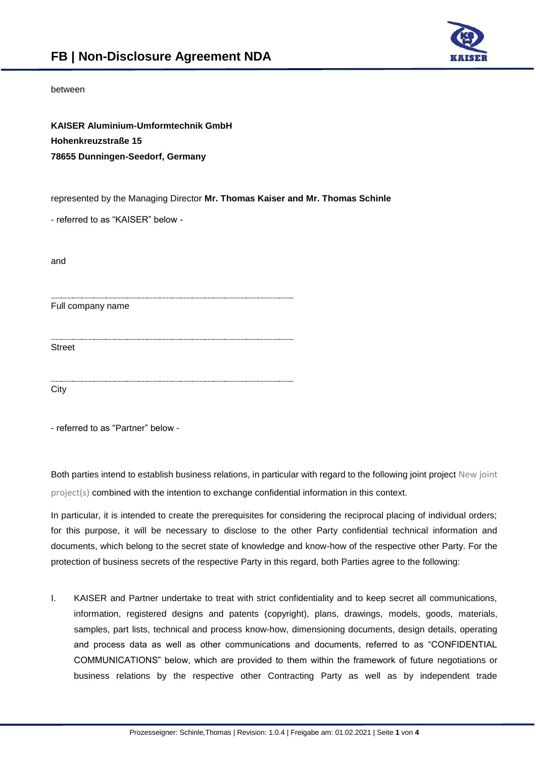

## between

**KAISER Aluminium-Umformtechnik GmbH Hohenkreuzstraße 15 78655 Dunningen-Seedorf, Germany**

represented by the Managing Director **Mr. Thomas Kaiser and Mr. Thomas Schinle**

- referred to as "KAISER" below -

and

Full company name

Street

**City** 

- referred to as "Partner" below -

Both parties intend to establish business relations, in particular with regard to the following joint project New joint project(s) combined with the intention to exchange confidential information in this context.

In particular, it is intended to create the prerequisites for considering the reciprocal placing of individual orders; for this purpose, it will be necessary to disclose to the other Party confidential technical information and documents, which belong to the secret state of knowledge and know-how of the respective other Party. For the protection of business secrets of the respective Party in this regard, both Parties agree to the following:

I. KAISER and Partner undertake to treat with strict confidentiality and to keep secret all communications, information, registered designs and patents (copyright), plans, drawings, models, goods, materials, samples, part lists, technical and process know-how, dimensioning documents, design details, operating and process data as well as other communications and documents, referred to as "CONFIDENTIAL COMMUNICATIONS" below, which are provided to them within the framework of future negotiations or business relations by the respective other Contracting Party as well as by independent trade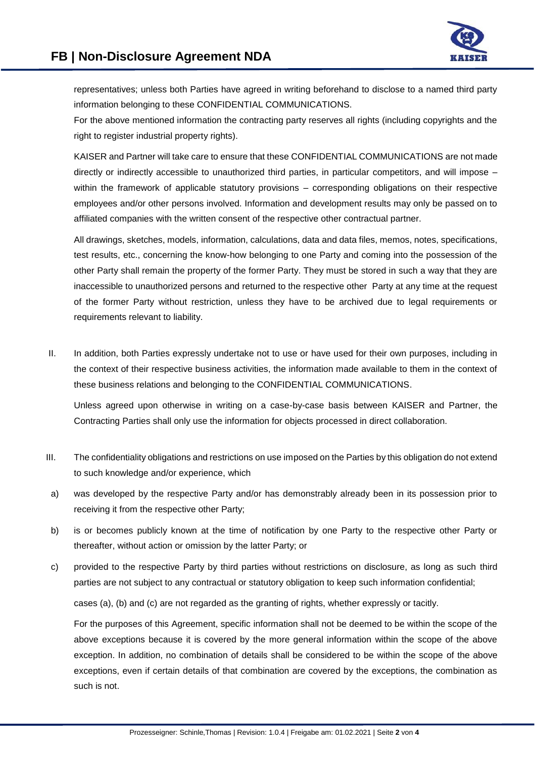

representatives; unless both Parties have agreed in writing beforehand to disclose to a named third party information belonging to these CONFIDENTIAL COMMUNICATIONS.

For the above mentioned information the contracting party reserves all rights (including copyrights and the right to register industrial property rights).

KAISER and Partner will take care to ensure that these CONFIDENTIAL COMMUNICATIONS are not made directly or indirectly accessible to unauthorized third parties, in particular competitors, and will impose – within the framework of applicable statutory provisions – corresponding obligations on their respective employees and/or other persons involved. Information and development results may only be passed on to affiliated companies with the written consent of the respective other contractual partner.

All drawings, sketches, models, information, calculations, data and data files, memos, notes, specifications, test results, etc., concerning the know-how belonging to one Party and coming into the possession of the other Party shall remain the property of the former Party. They must be stored in such a way that they are inaccessible to unauthorized persons and returned to the respective other Party at any time at the request of the former Party without restriction, unless they have to be archived due to legal requirements or requirements relevant to liability.

II. In addition, both Parties expressly undertake not to use or have used for their own purposes, including in the context of their respective business activities, the information made available to them in the context of these business relations and belonging to the CONFIDENTIAL COMMUNICATIONS.

Unless agreed upon otherwise in writing on a case-by-case basis between KAISER and Partner, the Contracting Parties shall only use the information for objects processed in direct collaboration.

- III. The confidentiality obligations and restrictions on use imposed on the Parties by this obligation do not extend to such knowledge and/or experience, which
- a) was developed by the respective Party and/or has demonstrably already been in its possession prior to receiving it from the respective other Party;
- b) is or becomes publicly known at the time of notification by one Party to the respective other Party or thereafter, without action or omission by the latter Party; or
- c) provided to the respective Party by third parties without restrictions on disclosure, as long as such third parties are not subject to any contractual or statutory obligation to keep such information confidential;

cases (a), (b) and (c) are not regarded as the granting of rights, whether expressly or tacitly.

For the purposes of this Agreement, specific information shall not be deemed to be within the scope of the above exceptions because it is covered by the more general information within the scope of the above exception. In addition, no combination of details shall be considered to be within the scope of the above exceptions, even if certain details of that combination are covered by the exceptions, the combination as such is not.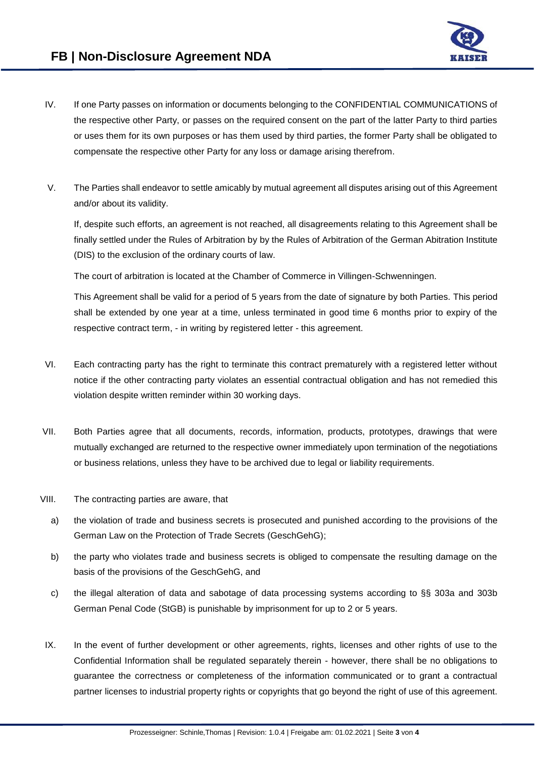

- IV. If one Party passes on information or documents belonging to the CONFIDENTIAL COMMUNICATIONS of the respective other Party, or passes on the required consent on the part of the latter Party to third parties or uses them for its own purposes or has them used by third parties, the former Party shall be obligated to compensate the respective other Party for any loss or damage arising therefrom.
- V. The Parties shall endeavor to settle amicably by mutual agreement all disputes arising out of this Agreement and/or about its validity.

If, despite such efforts, an agreement is not reached, all disagreements relating to this Agreement shall be finally settled under the Rules of Arbitration by by the Rules of Arbitration of the German Abitration Institute (DIS) to the exclusion of the ordinary courts of law.

The court of arbitration is located at the Chamber of Commerce in Villingen-Schwenningen.

This Agreement shall be valid for a period of 5 years from the date of signature by both Parties. This period shall be extended by one year at a time, unless terminated in good time 6 months prior to expiry of the respective contract term, - in writing by registered letter - this agreement.

- VI. Each contracting party has the right to terminate this contract prematurely with a registered letter without notice if the other contracting party violates an essential contractual obligation and has not remedied this violation despite written reminder within 30 working days.
- VII. Both Parties agree that all documents, records, information, products, prototypes, drawings that were mutually exchanged are returned to the respective owner immediately upon termination of the negotiations or business relations, unless they have to be archived due to legal or liability requirements.
- VIII. The contracting parties are aware, that
	- a) the violation of trade and business secrets is prosecuted and punished according to the provisions of the German Law on the Protection of Trade Secrets (GeschGehG);
	- b) the party who violates trade and business secrets is obliged to compensate the resulting damage on the basis of the provisions of the GeschGehG, and
	- c) the illegal alteration of data and sabotage of data processing systems according to §§ 303a and 303b German Penal Code (StGB) is punishable by imprisonment for up to 2 or 5 years.
- IX. In the event of further development or other agreements, rights, licenses and other rights of use to the Confidential Information shall be regulated separately therein - however, there shall be no obligations to guarantee the correctness or completeness of the information communicated or to grant a contractual partner licenses to industrial property rights or copyrights that go beyond the right of use of this agreement.